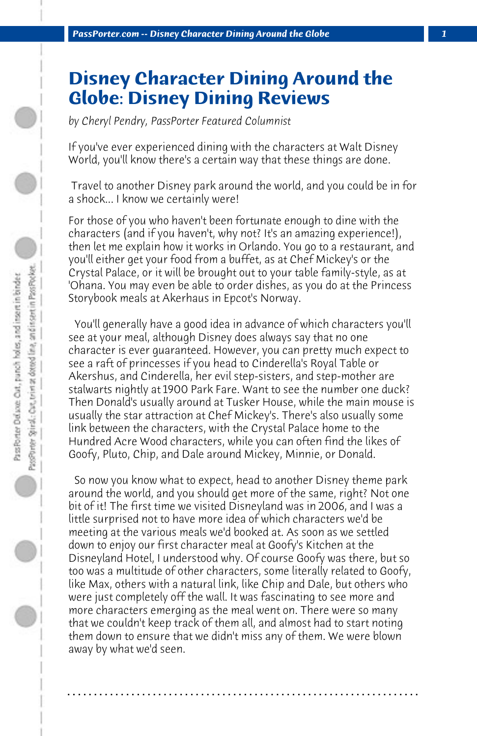## **Disney Character Dining Around the Globe: Disney Dining Reviews**

*by Cheryl Pendry, PassPorter Featured Columnist*

If you've ever experienced dining with the characters at Walt Disney World, you'll know there's a certain way that these things are done.

 Travel to another Disney park around the world, and you could be in for a shock... I know we certainly were!

For those of you who haven't been fortunate enough to dine with the characters (and if you haven't, why not? It's an amazing experience!), then let me explain how it works in Orlando. You go to a restaurant, and you'll either get your food from a buffet, as at Chef Mickey's or the Crystal Palace, or it will be brought out to your table family-style, as at 'Ohana. You may even be able to order dishes, as you do at the Princess Storybook meals at Akerhaus in Epcot's Norway.

 You'll generally have a good idea in advance of which characters you'll see at your meal, although Disney does always say that no one character is ever guaranteed. However, you can pretty much expect to see a raft of princesses if you head to Cinderella's Royal Table or Akershus, and Cinderella, her evil step-sisters, and step-mother are stalwarts nightly at 1900 Park Fare. Want to see the number one duck? Then Donald's usually around at Tusker House, while the main mouse is usually the star attraction at Chef Mickey's. There's also usually some link between the characters, with the Crystal Palace home to the Hundred Acre Wood characters, while you can often find the likes of Goofy, Pluto, Chip, and Dale around Mickey, Minnie, or Donald.

 So now you know what to expect, head to another Disney theme park around the world, and you should get more of the same, right? Not one bit of it! The first time we visited Disneyland was in 2006, and I was a little surprised not to have more idea of which characters we'd be meeting at the various meals we'd booked at. As soon as we settled down to enjoy our first character meal at Goofy's Kitchen at the Disneyland Hotel, I understood why. Of course Goofy was there, but so too was a multitude of other characters, some literally related to Goofy, like Max, others with a natural link, like Chip and Dale, but others who were just completely off the wall. It was fascinating to see more and more characters emerging as the meal went on. There were so many that we couldn't keep track of them all, and almost had to start noting them down to ensure that we didn't miss any of them. We were blown away by what we'd seen.

**. . . . . . . . . . . . . . . . . . . . . . . . . . . . . . . . . . . . . . . . . . . . . . . . . . . . . . . . . . . . . . . . . .**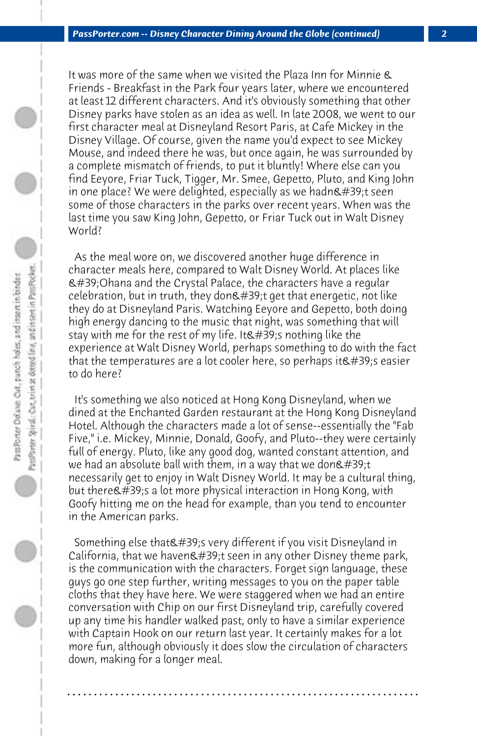It was more of the same when we visited the Plaza Inn for Minnie & Friends - Breakfast in the Park four years later, where we encountered at least 12 different characters. And it's obviously something that other Disney parks have stolen as an idea as well. In late 2008, we went to our first character meal at Disneyland Resort Paris, at Cafe Mickey in the Disney Village. Of course, given the name you'd expect to see Mickey Mouse, and indeed there he was, but once again, he was surrounded by a complete mismatch of friends, to put it bluntly! Where else can you find Eeyore, Friar Tuck, Tigger, Mr. Smee, Gepetto, Pluto, and King John in one place? We were delighted, especially as we hadn $\&$ #39;t seen some of those characters in the parks over recent years. When was the last time you saw King John, Gepetto, or Friar Tuck out in Walt Disney World?

 As the meal wore on, we discovered another huge difference in character meals here, compared to Walt Disney World. At places like 'Ohana and the Crystal Palace, the characters have a regular celebration, but in truth, they don $'$ ;t get that energetic, not like they do at Disneyland Paris. Watching Eeyore and Gepetto, both doing high energy dancing to the music that night, was something that will stay with me for the rest of my life. It  $\'$ ; nothing like the experience at Walt Disney World, perhaps something to do with the fact that the temperatures are a lot cooler here, so perhaps it  $\&\#39$ ; seasier to do here?

 It's something we also noticed at Hong Kong Disneyland, when we dined at the Enchanted Garden restaurant at the Hong Kong Disneyland Hotel. Although the characters made a lot of sense--essentially the "Fab Five," i.e. Mickey, Minnie, Donald, Goofy, and Pluto--they were certainly full of energy. Pluto, like any good dog, wanted constant attention, and we had an absolute ball with them, in a way that we don $\&$ #39;t necessarily get to enjoy in Walt Disney World. It may be a cultural thing, but there's a lot more physical interaction in Hong Kong, with Goofy hitting me on the head for example, than you tend to encounter in the American parks.

Something else that's very different if you visit Disneyland in California, that we haven $\&$ #39;t seen in any other Disney theme park, is the communication with the characters. Forget sign language, these guys go one step further, writing messages to you on the paper table cloths that they have here. We were staggered when we had an entire conversation with Chip on our first Disneyland trip, carefully covered up any time his handler walked past, only to have a similar experience with Captain Hook on our return last year. It certainly makes for a lot more fun, although obviously it does slow the circulation of characters down, making for a longer meal.

**. . . . . . . . . . . . . . . . . . . . . . . . . . . . . . . . . . . . . . . . . . . . . . . . . . . . . . . . . . . . . . . . . .**